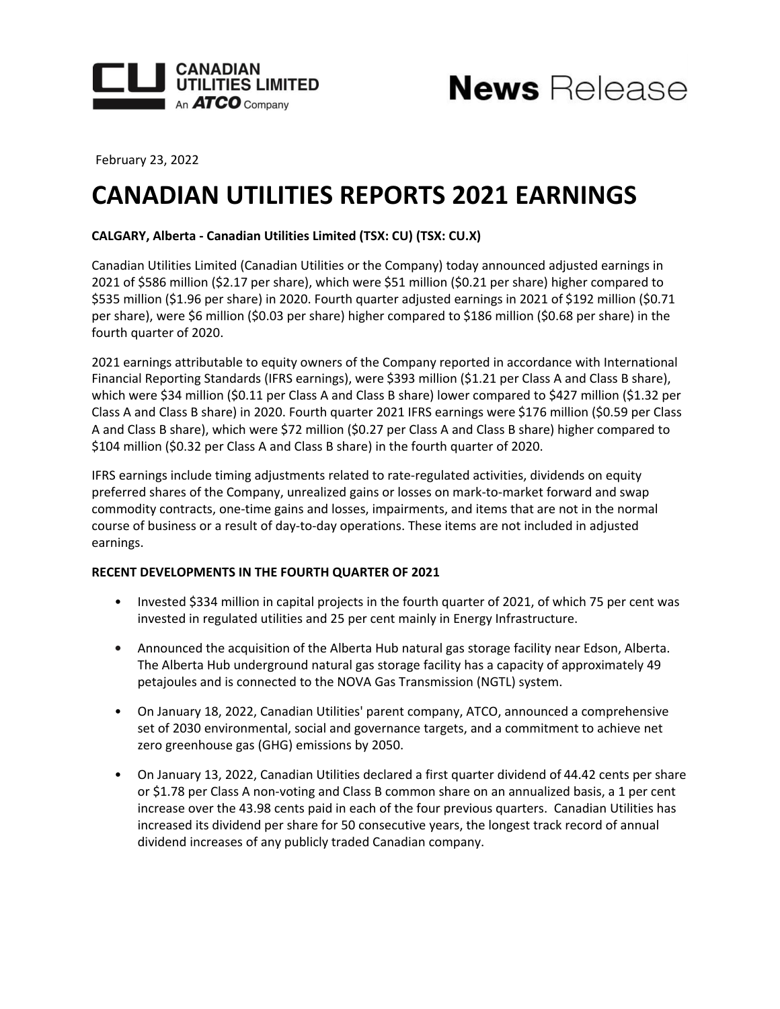



February 23, 2022

# **CANADIAN UTILITIES REPORTS 2021 EARNINGS**

# CALGARY, Alberta - Canadian Utilities Limited (TSX: CU) (TSX: CU.X)

Canadian Utilities Limited (Canadian Utilities or the Company) today announced adjusted earnings in 2021 of \$586 million (\$2.17 per share), which were \$51 million (\$0.21 per share) higher compared to \$535 million (\$1.96 per share) in 2020. Fourth quarter adjusted earnings in 2021 of \$192 million (\$0.71 per share), were \$6 million (\$0.03 per share) higher compared to \$186 million (\$0.68 per share) in the fourth quarter of 2020.

2021 earnings attributable to equity owners of the Company reported in accordance with International Financial Reporting Standards (IFRS earnings), were \$393 million (\$1.21 per Class A and Class B share), which were \$34 million (\$0.11 per Class A and Class B share) lower compared to \$427 million (\$1.32 per Class A and Class B share) in 2020. Fourth quarter 2021 IFRS earnings were \$176 million (\$0.59 per Class A and Class B share), which were \$72 million (\$0.27 per Class A and Class B share) higher compared to \$104 million (\$0.32 per Class A and Class B share) in the fourth quarter of 2020.

IFRS earnings include timing adjustments related to rate-regulated activities, dividends on equity preferred shares of the Company, unrealized gains or losses on mark-to-market forward and swap commodity contracts, one-time gains and losses, impairments, and items that are not in the normal course of business or a result of day-to-day operations. These items are not included in adjusted earnings. 

# **RECENT DEVELOPMENTS IN THE FOURTH QUARTER OF 2021**

- Invested \$334 million in capital projects in the fourth quarter of 2021, of which 75 per cent was invested in regulated utilities and 25 per cent mainly in Energy Infrastructure.
- Announced the acquisition of the Alberta Hub natural gas storage facility near Edson, Alberta. The Alberta Hub underground natural gas storage facility has a capacity of approximately 49 petajoules and is connected to the NOVA Gas Transmission (NGTL) system.
- On January 18, 2022, Canadian Utilities' parent company, ATCO, announced a comprehensive set of 2030 environmental, social and governance targets, and a commitment to achieve net zero greenhouse gas (GHG) emissions by 2050.
- On January 13, 2022, Canadian Utilities declared a first quarter dividend of 44.42 cents per share or \$1.78 per Class A non-voting and Class B common share on an annualized basis, a 1 per cent increase over the 43.98 cents paid in each of the four previous quarters. Canadian Utilities has increased its dividend per share for 50 consecutive years, the longest track record of annual dividend increases of any publicly traded Canadian company.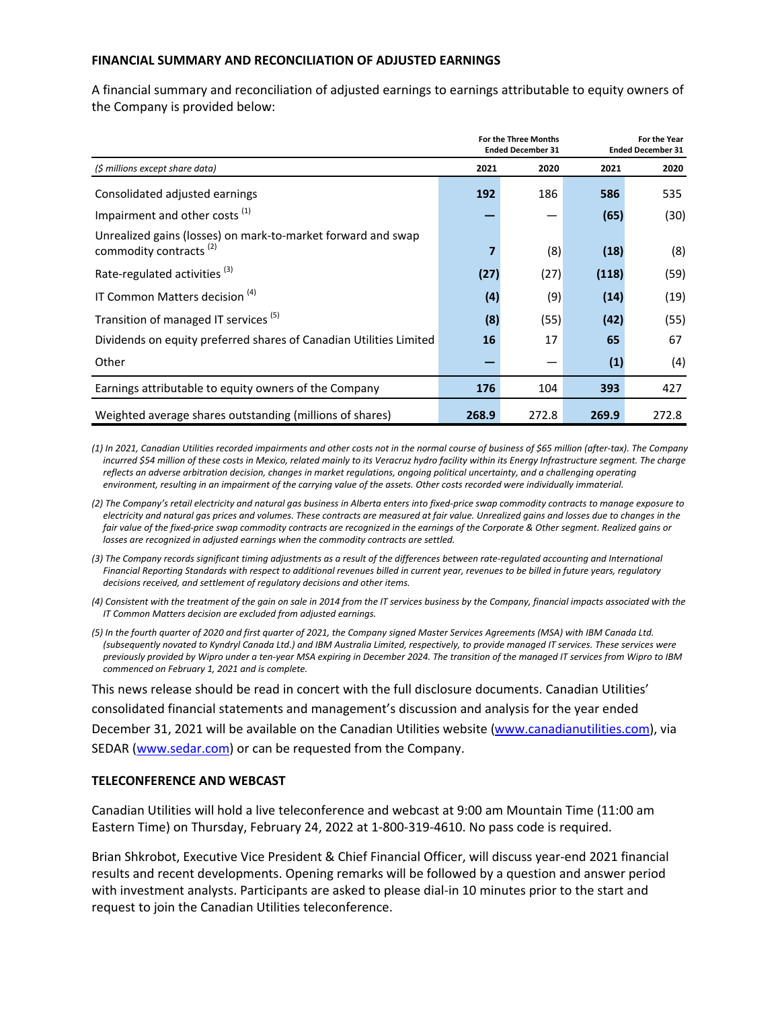# **FINANCIAL SUMMARY AND RECONCILIATION OF ADJUSTED EARNINGS**

A financial summary and reconciliation of adjusted earnings to earnings attributable to equity owners of the Company is provided below:

|                                                                                                    | <b>For the Three Months</b><br><b>Ended December 31</b> |       | For the Year<br><b>Ended December 31</b> |       |
|----------------------------------------------------------------------------------------------------|---------------------------------------------------------|-------|------------------------------------------|-------|
| (\$ millions except share data)                                                                    | 2021                                                    | 2020  | 2021                                     | 2020  |
| Consolidated adjusted earnings                                                                     | 192                                                     | 186   | 586                                      | 535   |
| Impairment and other costs <sup>(1)</sup>                                                          |                                                         |       | (65)                                     | (30)  |
| Unrealized gains (losses) on mark-to-market forward and swap<br>commodity contracts <sup>(2)</sup> | 7                                                       | (8)   | (18)                                     | (8)   |
| Rate-regulated activities <sup>(3)</sup>                                                           | (27)                                                    | (27)  | (118)                                    | (59)  |
| IT Common Matters decision (4)                                                                     | (4)                                                     | (9)   | (14)                                     | (19)  |
| Transition of managed IT services <sup>(5)</sup>                                                   | (8)                                                     | (55)  | (42)                                     | (55)  |
| Dividends on equity preferred shares of Canadian Utilities Limited                                 | 16                                                      | 17    | 65                                       | 67    |
| Other                                                                                              |                                                         |       | (1)                                      | (4)   |
| Earnings attributable to equity owners of the Company                                              | 176                                                     | 104   | 393                                      | 427   |
| Weighted average shares outstanding (millions of shares)                                           | 268.9                                                   | 272.8 | 269.9                                    | 272.8 |

(1) In 2021, Canadian Utilities recorded impairments and other costs not in the normal course of business of \$65 million (after-tax). The Company incurred \$54 million of these costs in Mexico, related mainly to its Veracruz hydro facility within its Energy Infrastructure segment. The charge reflects an adverse arbitration decision, changes in market regulations, ongoing political uncertainty, and a challenging operating environment, resulting in an impairment of the carrying value of the assets. Other costs recorded were individually immaterial.

(2) The Company's retail electricity and natural gas business in Alberta enters into fixed-price swap commodity contracts to manage exposure to electricity and natural gas prices and volumes. These contracts are measured at fair value. Unrealized gains and losses due to changes in the fair value of the fixed-price swap commodity contracts are recognized in the earnings of the Corporate & Other segment. Realized gains or *losses are recognized in adjusted earnings when the commodity contracts are settled.* 

(3) The Company records significant timing adjustments as a result of the differences between rate-regulated accounting and International Financial Reporting Standards with respect to additional revenues billed in current year, revenues to be billed in future years, regulatory decisions received, and settlement of regulatory decisions and other items.

(4) Consistent with the treatment of the gain on sale in 2014 from the IT services business by the Company, financial impacts associated with the **IT Common Matters decision are excluded from adjusted earnings.** 

(5) In the fourth quarter of 2020 and first quarter of 2021, the Company signed Master Services Agreements (MSA) with IBM Canada Ltd. (subsequently novated to Kyndryl Canada Ltd.) and IBM Australia Limited, respectively, to provide managed IT services. These services were previously provided by Wipro under a ten-year MSA expiring in December 2024. The transition of the managed IT services from Wipro to IBM *commenced on February 1, 2021 and is complete.* 

This news release should be read in concert with the full disclosure documents. Canadian Utilities' consolidated financial statements and management's discussion and analysis for the year ended December 31, 2021 will be available on the Canadian Utilities website [\(www.canadianutilities.com](https://www.canadianutilities.com/en-ca.html)), via SEDAR [\(www.sedar.com](https://www.sedar.com/)) or can be requested from the Company.

# **TELECONFERENCE AND WEBCAST**

Canadian Utilities will hold a live teleconference and webcast at 9:00 am Mountain Time (11:00 am Eastern Time) on Thursday, February 24, 2022 at 1-800-319-4610. No pass code is required.

Brian Shkrobot, Executive Vice President & Chief Financial Officer, will discuss year-end 2021 financial results and recent developments. Opening remarks will be followed by a question and answer period with investment analysts. Participants are asked to please dial-in 10 minutes prior to the start and request to join the Canadian Utilities teleconference.